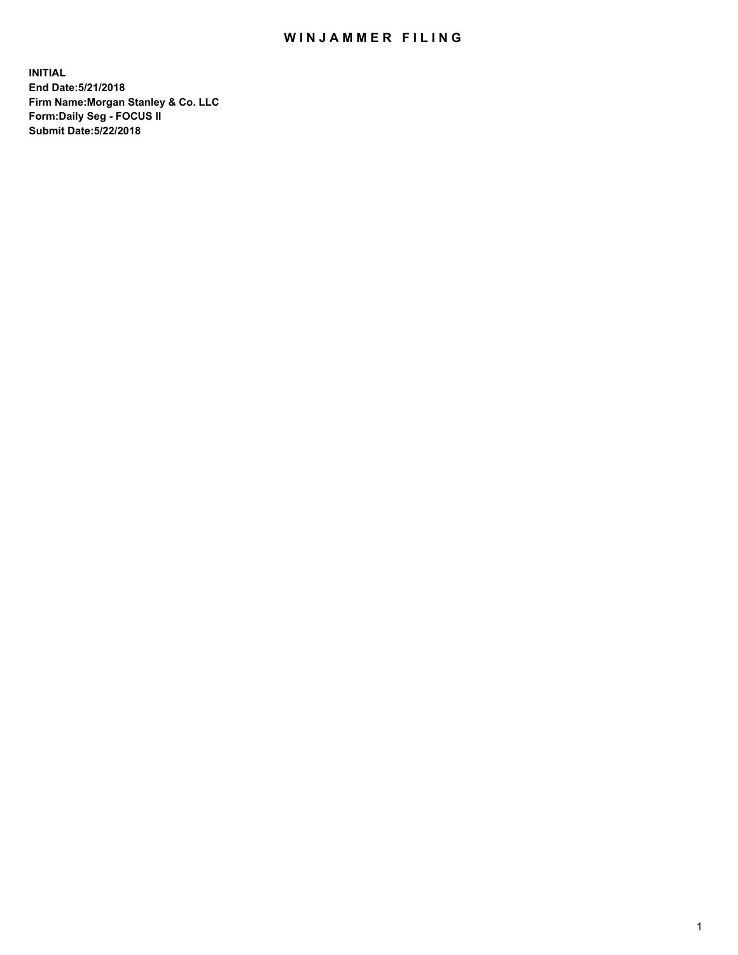## WIN JAMMER FILING

**INITIAL End Date:5/21/2018 Firm Name:Morgan Stanley & Co. LLC Form:Daily Seg - FOCUS II Submit Date:5/22/2018**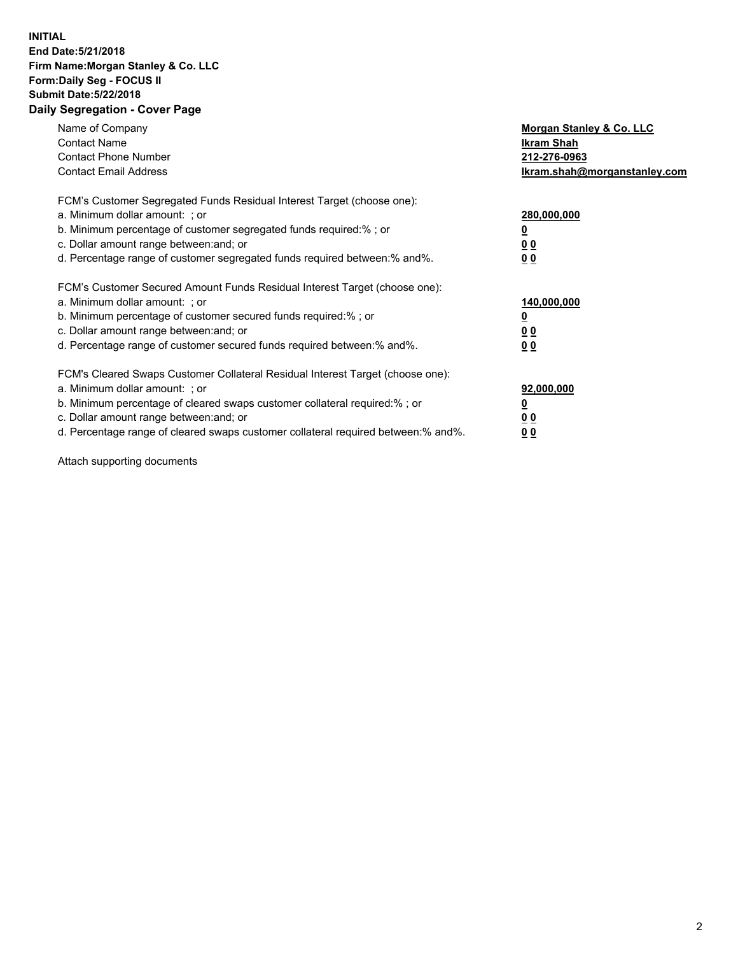## **INITIAL End Date:5/21/2018 Firm Name:Morgan Stanley & Co. LLC Form:Daily Seg - FOCUS II Submit Date:5/22/2018 Daily Segregation - Cover Page**

| Name of Company<br><b>Contact Name</b><br><b>Contact Phone Number</b><br><b>Contact Email Address</b>                                                                                                                                                                                                                          | Morgan Stanley & Co. LLC<br><b>Ikram Shah</b><br>212-276-0963<br>Ikram.shah@morganstanley.com |
|--------------------------------------------------------------------------------------------------------------------------------------------------------------------------------------------------------------------------------------------------------------------------------------------------------------------------------|-----------------------------------------------------------------------------------------------|
| FCM's Customer Segregated Funds Residual Interest Target (choose one):<br>a. Minimum dollar amount: ; or<br>b. Minimum percentage of customer segregated funds required:%; or<br>c. Dollar amount range between: and; or<br>d. Percentage range of customer segregated funds required between: % and %.                        | 280,000,000<br><u>0</u><br>0 <sub>0</sub><br>0 <sub>0</sub>                                   |
| FCM's Customer Secured Amount Funds Residual Interest Target (choose one):<br>a. Minimum dollar amount: ; or<br>b. Minimum percentage of customer secured funds required:%; or<br>c. Dollar amount range between: and; or<br>d. Percentage range of customer secured funds required between: % and %.                          | 140,000,000<br>0 <sub>0</sub><br>0 <sub>0</sub>                                               |
| FCM's Cleared Swaps Customer Collateral Residual Interest Target (choose one):<br>a. Minimum dollar amount: ; or<br>b. Minimum percentage of cleared swaps customer collateral required:% ; or<br>c. Dollar amount range between: and; or<br>d. Percentage range of cleared swaps customer collateral required between:% and%. | 92,000,000<br>0 <sub>0</sub><br>0 <sub>0</sub>                                                |

Attach supporting documents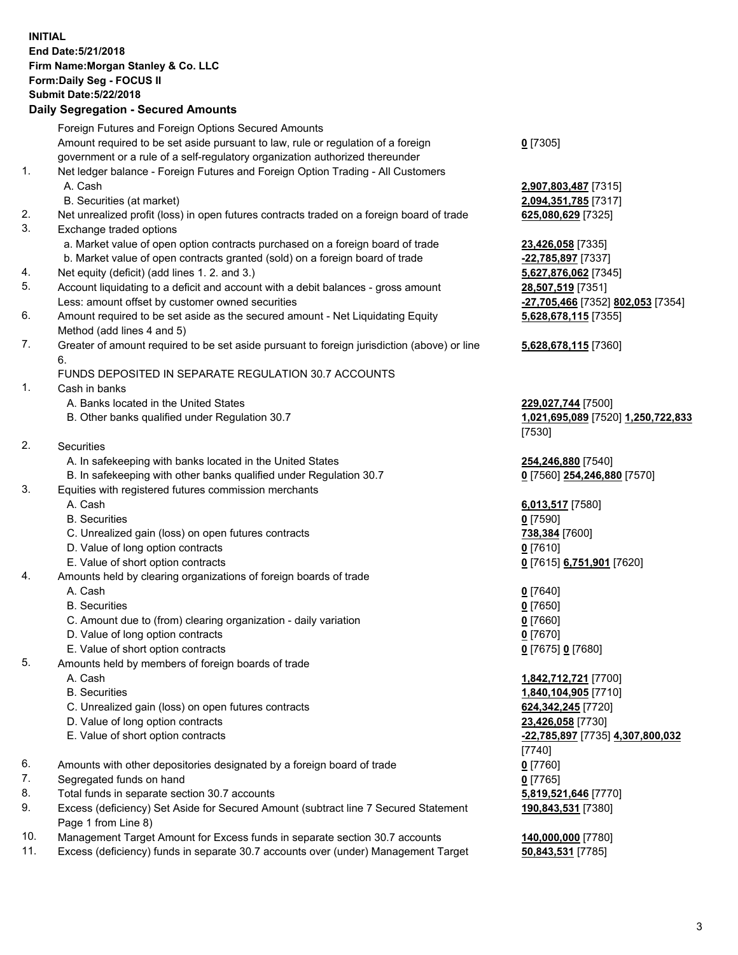## **INITIAL End Date:5/21/2018 Firm Name:Morgan Stanley & Co. LLC Form:Daily Seg - FOCUS II Submit Date:5/22/2018 Daily Segregation - Secured Amounts**

Foreign Futures and Foreign Options Secured Amounts Amount required to be set aside pursuant to law, rule or regulation of a foreign government or a rule of a self-regulatory organization authorized thereunder 1. Net ledger balance - Foreign Futures and Foreign Option Trading - All Customers A. Cash **2,907,803,487** [7315] B. Securities (at market) **2,094,351,785** [7317] 2. Net unrealized profit (loss) in open futures contracts traded on a foreign board of trade **625,080,629** [7325] 3. Exchange traded options a. Market value of open option contracts purchased on a foreign board of trade **23,426,058** [7335] b. Market value of open contracts granted (sold) on a foreign board of trade **-22,785,897** [7337] 4. Net equity (deficit) (add lines 1. 2. and 3.) **5,627,876,062** [7345] 5. Account liquidating to a deficit and account with a debit balances - gross amount **28,507,519** [7351] Less: amount offset by customer owned securities **-27,705,466** [7352] **802,053** [7354] 6. Amount required to be set aside as the secured amount - Net Liquidating Equity Method (add lines 4 and 5) 7. Greater of amount required to be set aside pursuant to foreign jurisdiction (above) or line 6. FUNDS DEPOSITED IN SEPARATE REGULATION 30.7 ACCOUNTS 1. Cash in banks A. Banks located in the United States **229,027,744** [7500] B. Other banks qualified under Regulation 30.7 **1,021,695,089** [7520] **1,250,722,833** 2. Securities A. In safekeeping with banks located in the United States **254,246,880** [7540] B. In safekeeping with other banks qualified under Regulation 30.7 **0** [7560] **254,246,880** [7570] 3. Equities with registered futures commission merchants A. Cash **6,013,517** [7580] B. Securities **0** [7590] C. Unrealized gain (loss) on open futures contracts **738,384** [7600] D. Value of long option contracts **0** [7610] E. Value of short option contracts **0** [7615] **6,751,901** [7620] 4. Amounts held by clearing organizations of foreign boards of trade A. Cash **0** [7640] B. Securities **0** [7650] C. Amount due to (from) clearing organization - daily variation **0** [7660] D. Value of long option contracts **0** [7670] E. Value of short option contracts **0** [7675] **0** [7680] 5. Amounts held by members of foreign boards of trade A. Cash **1,842,712,721** [7700] B. Securities **1,840,104,905** [7710] C. Unrealized gain (loss) on open futures contracts **624,342,245** [7720] D. Value of long option contracts **23,426,058** [7730] E. Value of short option contracts **-22,785,897** [7735] **4,307,800,032** 6. Amounts with other depositories designated by a foreign board of trade **0** [7760] 7. Segregated funds on hand **0** [7765] 8. Total funds in separate section 30.7 accounts **5,819,521,646** [7770] 9. Excess (deficiency) Set Aside for Secured Amount (subtract line 7 Secured Statement Page 1 from Line 8) 10. Management Target Amount for Excess funds in separate section 30.7 accounts **140,000,000** [7780]

11. Excess (deficiency) funds in separate 30.7 accounts over (under) Management Target **50,843,531** [7785]

**0** [7305]

**5,628,678,115** [7355]

## **5,628,678,115** [7360]

[7530]

[7740] **190,843,531** [7380]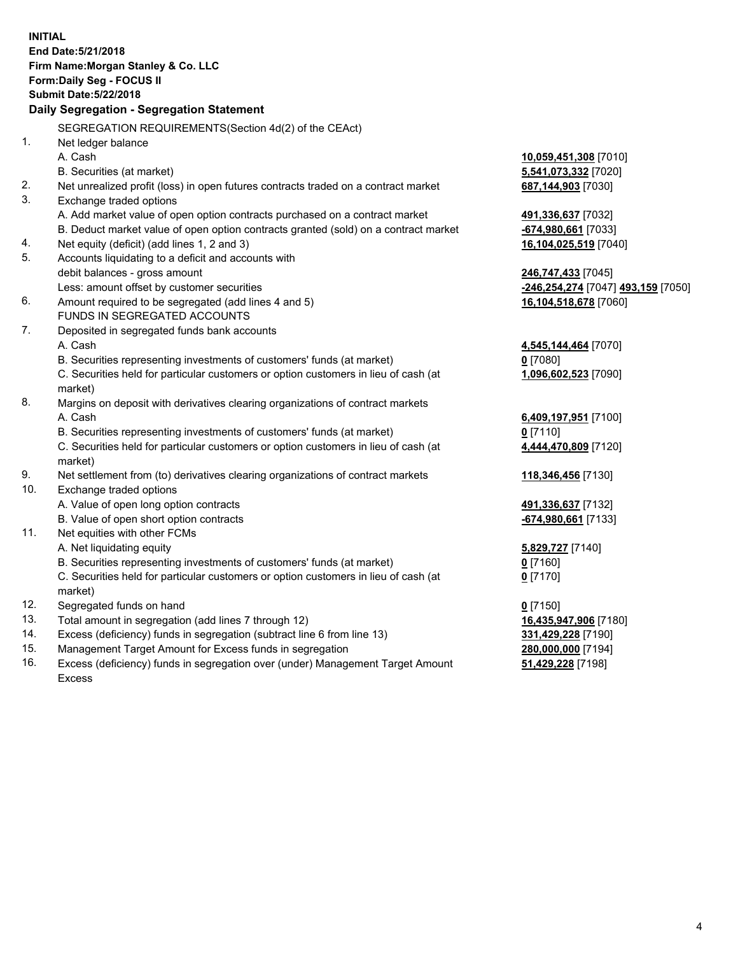**INITIAL End Date:5/21/2018 Firm Name:Morgan Stanley & Co. LLC Form:Daily Seg - FOCUS II Submit Date:5/22/2018 Daily Segregation - Segregation Statement** SEGREGATION REQUIREMENTS(Section 4d(2) of the CEAct) 1. Net ledger balance A. Cash **10,059,451,308** [7010] B. Securities (at market) **5,541,073,332** [7020] 2. Net unrealized profit (loss) in open futures contracts traded on a contract market **687,144,903** [7030] 3. Exchange traded options A. Add market value of open option contracts purchased on a contract market **491,336,637** [7032] B. Deduct market value of open option contracts granted (sold) on a contract market **-674,980,661** [7033] 4. Net equity (deficit) (add lines 1, 2 and 3) **16,104,025,519** [7040] 5. Accounts liquidating to a deficit and accounts with debit balances - gross amount **246,747,433** [7045] Less: amount offset by customer securities **-246,254,274** [7047] **493,159** [7050] 6. Amount required to be segregated (add lines 4 and 5) **16,104,518,678** [7060] FUNDS IN SEGREGATED ACCOUNTS 7. Deposited in segregated funds bank accounts A. Cash **4,545,144,464** [7070] B. Securities representing investments of customers' funds (at market) **0** [7080] C. Securities held for particular customers or option customers in lieu of cash (at market) **1,096,602,523** [7090] 8. Margins on deposit with derivatives clearing organizations of contract markets A. Cash **6,409,197,951** [7100] B. Securities representing investments of customers' funds (at market) **0** [7110] C. Securities held for particular customers or option customers in lieu of cash (at market) **4,444,470,809** [7120] 9. Net settlement from (to) derivatives clearing organizations of contract markets **118,346,456** [7130] 10. Exchange traded options A. Value of open long option contracts **491,336,637** [7132] B. Value of open short option contracts **-674,980,661** [7133] 11. Net equities with other FCMs A. Net liquidating equity **5,829,727** [7140] B. Securities representing investments of customers' funds (at market) **0** [7160] C. Securities held for particular customers or option customers in lieu of cash (at market) **0** [7170] 12. Segregated funds on hand **0** [7150] 13. Total amount in segregation (add lines 7 through 12) **16,435,947,906** [7180] 14. Excess (deficiency) funds in segregation (subtract line 6 from line 13) **331,429,228** [7190] 15. Management Target Amount for Excess funds in segregation **280,000,000** [7194]

16. Excess (deficiency) funds in segregation over (under) Management Target Amount Excess

**51,429,228** [7198]